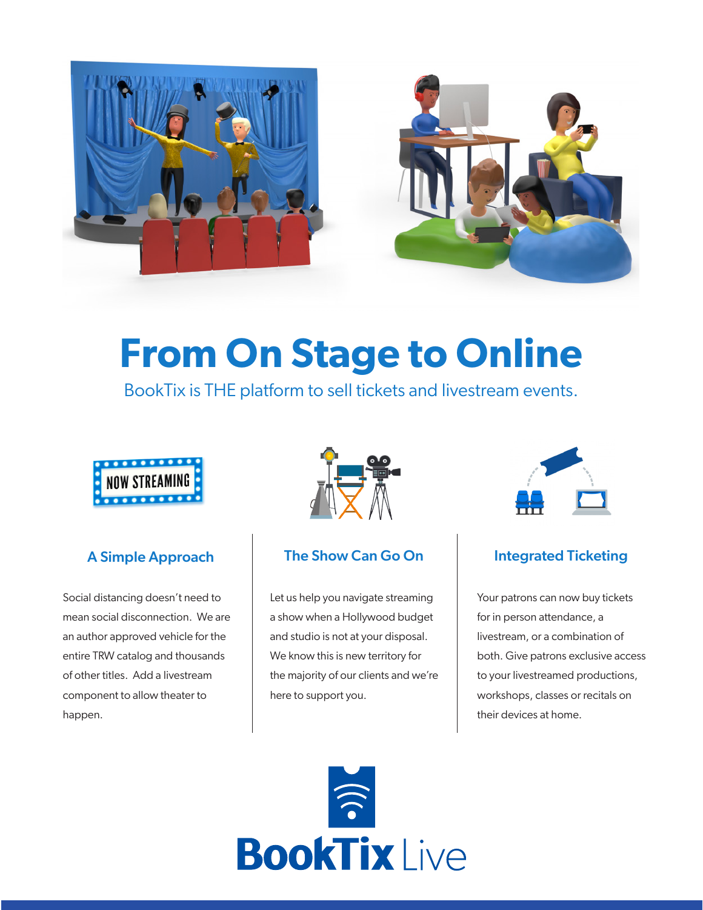

# **From On Stage to Online**

BookTix is THE platform to sell tickets and livestream events.



Social distancing doesn't need to mean social disconnection. We are an author approved vehicle for the entire TRW catalog and thousands of other titles. Add a livestream component to allow theater to happen.



#### A Simple Approach The Show Can Go On Integrated Ticketing

Let us help you navigate streaming a show when a Hollywood budget and studio is not at your disposal. We know this is new territory for the majority of our clients and we're here to support you.



Your patrons can now buy tickets for in person attendance, a livestream, or a combination of both. Give patrons exclusive access to your livestreamed productions, workshops, classes or recitals on their devices at home.

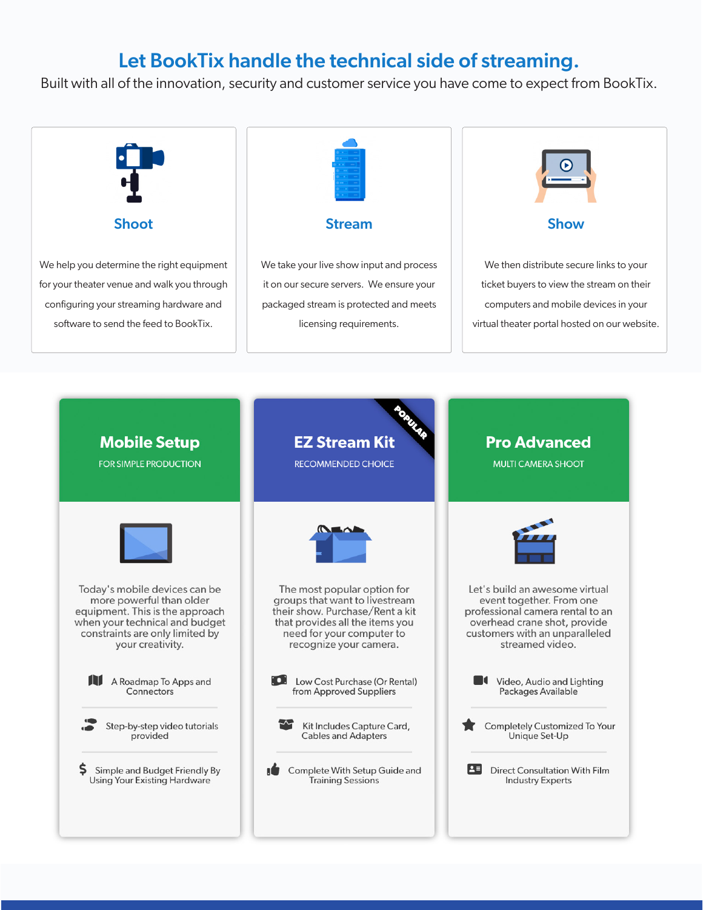### Let BookTix handle the technical side of streaming.

Built with all of the innovation, security and customer service you have come to expect from BookTix.